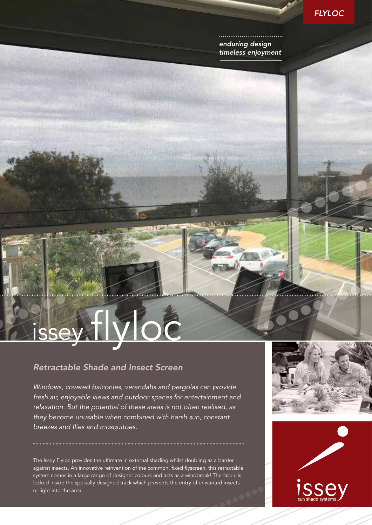

*enduring design timeless enjoyment*

# issey flyloc

## *Retractable Shade and Insect Screen*

*Windows, covered balconies, verandahs and pergolas can provide fresh air, enjoyable views and outdoor spaces for entertainment and relaxation. But the potential of these areas is not often realised, as they become unusable when combined with harsh sun, constant breezes and flies and mosquitoes.*

**MARK WAS** 

The Issey Flyloc provides the ultimate in external shading whilst doubling as a barrier against insects. An innovative reinvention of the common, fixed flyscreen, this retractable system comes in a large range of designer colours and acts as a windbreak! The fabric is locked inside the specially designed track which prevents the entry of unwanted insects or light into the area.



35000